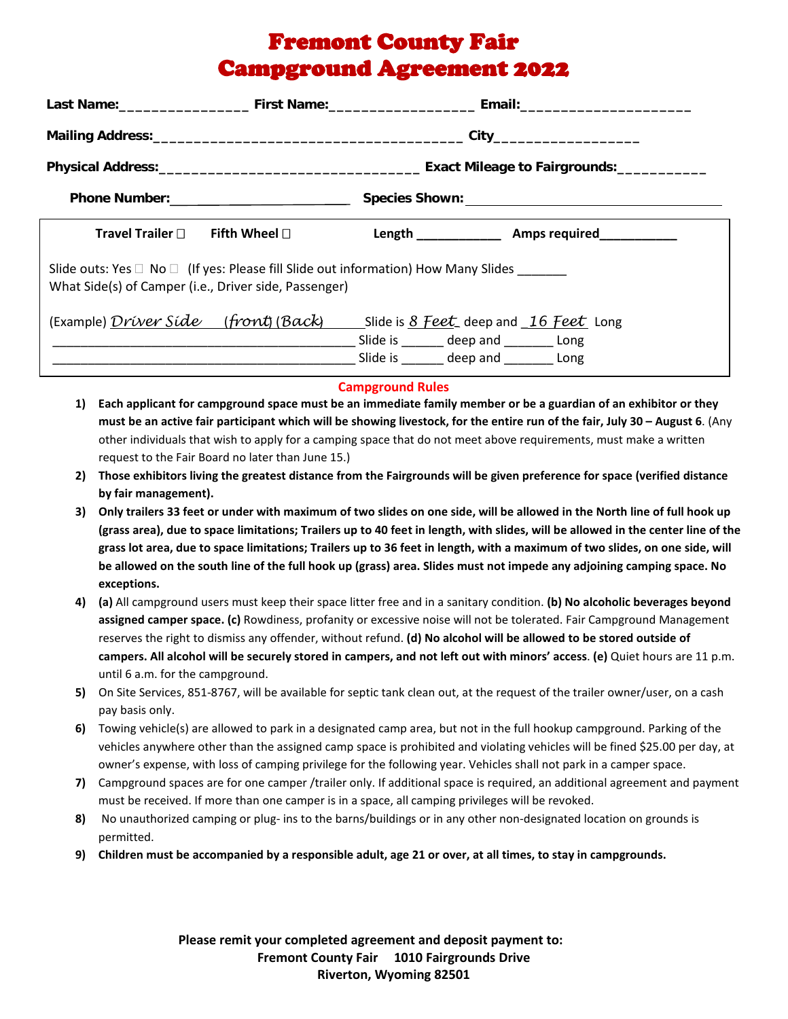## Fremont County Fair Campground Agreement 2022

|                                                                                                                                                       | City_________________________ |                                        |                                         |
|-------------------------------------------------------------------------------------------------------------------------------------------------------|-------------------------------|----------------------------------------|-----------------------------------------|
|                                                                                                                                                       |                               |                                        |                                         |
|                                                                                                                                                       |                               |                                        |                                         |
| Travel Trailer $\Box$                                                                                                                                 | Fifth Wheel $\Box$            |                                        | Length <b>Example 2 Amps required</b>   |
| Slide outs: Yes $\Box$ No $\Box$ (If yes: Please fill Slide out information) How Many Slides<br>What Side(s) of Camper (i.e., Driver side, Passenger) |                               |                                        |                                         |
| (Example) <i>Driver Side</i> ( <i>front</i> ) ( <i>Back</i> ) Slide is <u>8 Feet</u> deep and 16 Feet Long                                            |                               | Slide is _______ deep and _______ Long | Slide is _______ deep and ________ Long |

## **Campground Rules**

- **1) Each applicant for campground space must be an immediate family member or be a guardian of an exhibitor or they must be an active fair participant which will be showing livestock, for the entire run of the fair, July 30 – August 6**. (Any other individuals that wish to apply for a camping space that do not meet above requirements, must make a written request to the Fair Board no later than June 15.)
- **2) Those exhibitors living the greatest distance from the Fairgrounds will be given preference for space (verified distance by fair management).**
- **3) Only trailers 33 feet or under with maximum of two slides on one side, will be allowed in the North line of full hook up (grass area), due to space limitations; Trailers up to 40 feet in length, with slides, will be allowed in the center line of the grass lot area, due to space limitations; Trailers up to 36 feet in length, with a maximum of two slides, on one side, will be allowed on the south line of the full hook up (grass) area. Slides must not impede any adjoining camping space. No exceptions.**
- **4) (a)** All campground users must keep their space litter free and in a sanitary condition. **(b) No alcoholic beverages beyond assigned camper space. (c)** Rowdiness, profanity or excessive noise will not be tolerated. Fair Campground Management reserves the right to dismiss any offender, without refund. **(d) No alcohol will be allowed to be stored outside of campers. All alcohol will be securely stored in campers, and not left out with minors' access**. **(e)** Quiet hours are 11 p.m. until 6 a.m. for the campground.
- **5)** On Site Services, 851-8767, will be available for septic tank clean out, at the request of the trailer owner/user, on a cash pay basis only.
- **6)** Towing vehicle(s) are allowed to park in a designated camp area, but not in the full hookup campground. Parking of the vehicles anywhere other than the assigned camp space is prohibited and violating vehicles will be fined \$25.00 per day, at owner's expense, with loss of camping privilege for the following year. Vehicles shall not park in a camper space.
- **7)** Campground spaces are for one camper /trailer only. If additional space is required, an additional agreement and payment must be received. If more than one camper is in a space, all camping privileges will be revoked.
- **8)** No unauthorized camping or plug- ins to the barns/buildings or in any other non-designated location on grounds is permitted.
- **9) Children must be accompanied by a responsible adult, age 21 or over, at all times, to stay in campgrounds.**

**Please remit your completed agreement and deposit payment to: Fremont County Fair 1010 Fairgrounds Drive Riverton, Wyoming 82501**